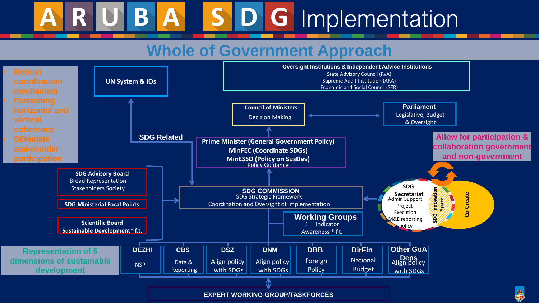**Co-Create**

**SDG Innovation** SRG



**Space**

**Parliament** Legislative, Budget & Oversight



- 
- 

## S D G Implementation B A

# **Whole of Government Approach**

**Allow for participation & collaboration government and non-government**